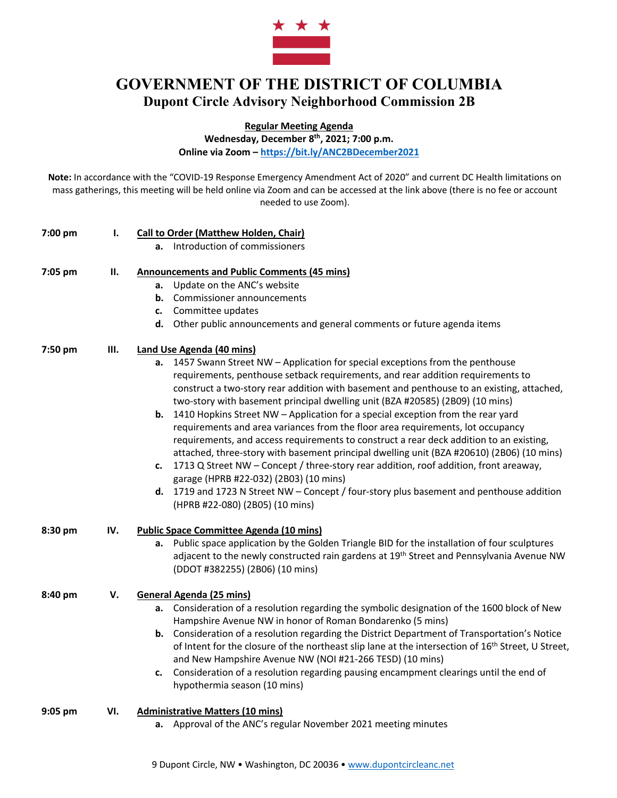

## **GOVERNMENT OF THE DISTRICT OF COLUMBIA Dupont Circle Advisory Neighborhood Commission 2B**

**Regular Meeting Agenda**

**Wednesday, December 8th, 2021; 7:00 p.m.**

**Online via Zoom – https://bit.ly/ANC2BDecember2021**

**Note:** In accordance with the "COVID-19 Response Emergency Amendment Act of 2020" and current DC Health limitations on mass gatherings, this meeting will be held online via Zoom and can be accessed at the link above (there is no fee or account needed to use Zoom).

| 7:00 pm | Ι.  | <b>Call to Order (Matthew Holden, Chair)</b>                                                                   |
|---------|-----|----------------------------------------------------------------------------------------------------------------|
|         |     | Introduction of commissioners<br>a.                                                                            |
| 7:05 pm | П.  | <b>Announcements and Public Comments (45 mins)</b>                                                             |
|         |     | Update on the ANC's website<br>a.                                                                              |
|         |     | Commissioner announcements<br>b.                                                                               |
|         |     | Committee updates<br>c.                                                                                        |
|         |     | d.<br>Other public announcements and general comments or future agenda items                                   |
| 7:50 pm | Ш.  | <b>Land Use Agenda (40 mins)</b>                                                                               |
|         |     | 1457 Swann Street NW - Application for special exceptions from the penthouse<br>a.                             |
|         |     | requirements, penthouse setback requirements, and rear addition requirements to                                |
|         |     | construct a two-story rear addition with basement and penthouse to an existing, attached,                      |
|         |     | two-story with basement principal dwelling unit (BZA #20585) (2B09) (10 mins)                                  |
|         |     | 1410 Hopkins Street NW - Application for a special exception from the rear yard<br>b.                          |
|         |     | requirements and area variances from the floor area requirements, lot occupancy                                |
|         |     | requirements, and access requirements to construct a rear deck addition to an existing,                        |
|         |     | attached, three-story with basement principal dwelling unit (BZA #20610) (2B06) (10 mins)                      |
|         |     | 1713 Q Street NW - Concept / three-story rear addition, roof addition, front areaway,<br>c.                    |
|         |     | garage (HPRB #22-032) (2B03) (10 mins)                                                                         |
|         |     | 1719 and 1723 N Street NW - Concept / four-story plus basement and penthouse addition<br>d.                    |
|         |     | (HPRB #22-080) (2B05) (10 mins)                                                                                |
| 8:30 pm | IV. | <b>Public Space Committee Agenda (10 mins)</b>                                                                 |
|         |     | Public space application by the Golden Triangle BID for the installation of four sculptures<br>а.              |
|         |     | adjacent to the newly constructed rain gardens at 19 <sup>th</sup> Street and Pennsylvania Avenue NW           |
|         |     | (DDOT #382255) (2B06) (10 mins)                                                                                |
| 8:40 pm | V.  | General Agenda (25 mins)                                                                                       |
|         |     | Consideration of a resolution regarding the symbolic designation of the 1600 block of New<br>а.                |
|         |     | Hampshire Avenue NW in honor of Roman Bondarenko (5 mins)                                                      |
|         |     | Consideration of a resolution regarding the District Department of Transportation's Notice<br>b.               |
|         |     | of Intent for the closure of the northeast slip lane at the intersection of 16 <sup>th</sup> Street, U Street, |
|         |     | and New Hampshire Avenue NW (NOI #21-266 TESD) (10 mins)                                                       |
|         |     | Consideration of a resolution regarding pausing encampment clearings until the end of<br>c.                    |
|         |     | hypothermia season (10 mins)                                                                                   |
| 9:05 pm | VI. | <b>Administrative Matters (10 mins)</b>                                                                        |
|         |     | Approval of the ANC's regular November 2021 meeting minutes<br>а.                                              |
|         |     |                                                                                                                |